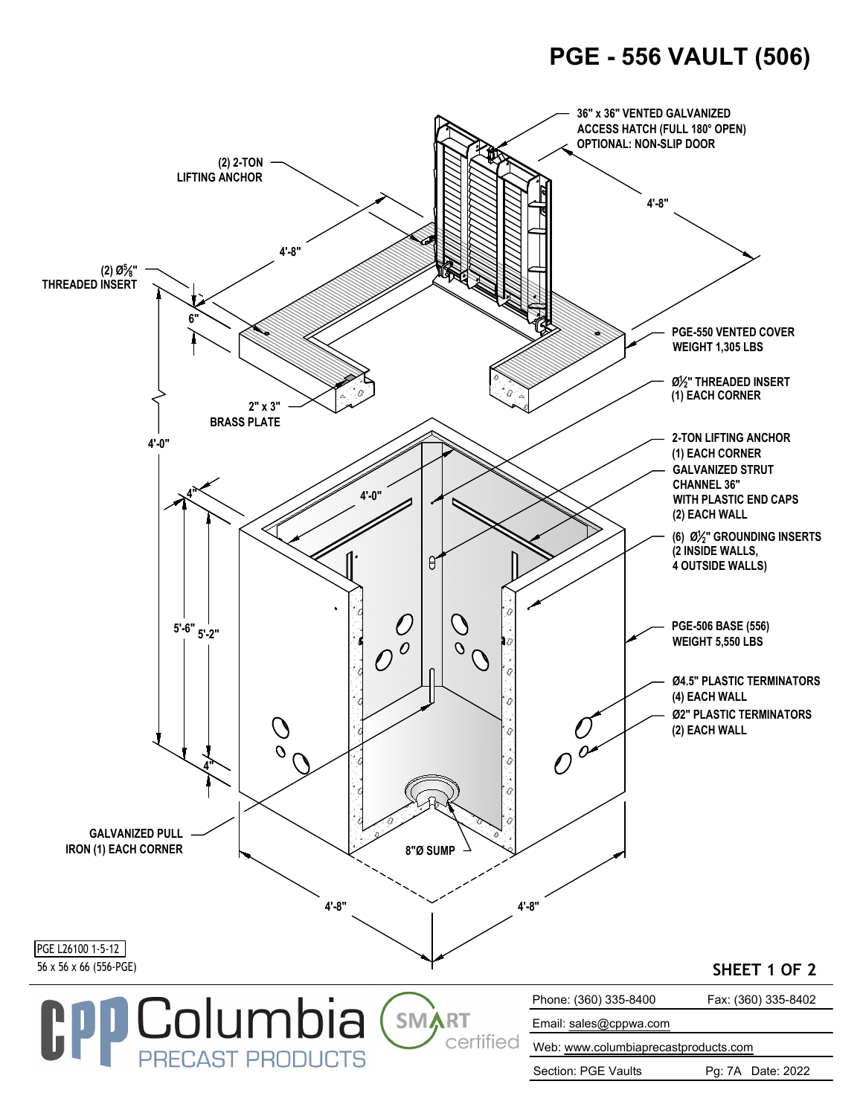## **PGE - 556 VAULT (506)**